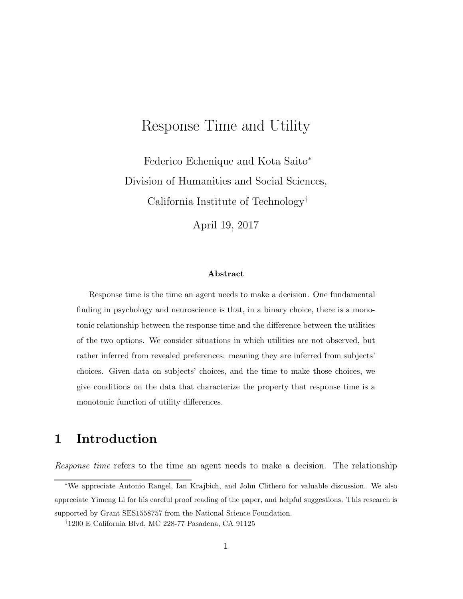## Response Time and Utility

Federico Echenique and Kota Saito<sup>∗</sup> Division of Humanities and Social Sciences, California Institute of Technology†

April 19, 2017

#### Abstract

Response time is the time an agent needs to make a decision. One fundamental finding in psychology and neuroscience is that, in a binary choice, there is a monotonic relationship between the response time and the difference between the utilities of the two options. We consider situations in which utilities are not observed, but rather inferred from revealed preferences: meaning they are inferred from subjects' choices. Given data on subjects' choices, and the time to make those choices, we give conditions on the data that characterize the property that response time is a monotonic function of utility differences.

## 1 Introduction

Response time refers to the time an agent needs to make a decision. The relationship

<sup>∗</sup>We appreciate Antonio Rangel, Ian Krajbich, and John Clithero for valuable discussion. We also appreciate Yimeng Li for his careful proof reading of the paper, and helpful suggestions. This research is supported by Grant SES1558757 from the National Science Foundation.

<sup>†</sup>1200 E California Blvd, MC 228-77 Pasadena, CA 91125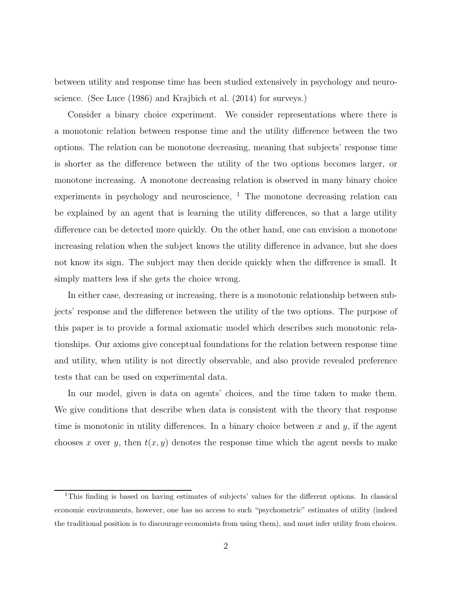between utility and response time has been studied extensively in psychology and neuroscience. (See Luce (1986) and Krajbich et al. (2014) for surveys.)

Consider a binary choice experiment. We consider representations where there is a monotonic relation between response time and the utility difference between the two options. The relation can be monotone decreasing, meaning that subjects' response time is shorter as the difference between the utility of the two options becomes larger, or monotone increasing. A monotone decreasing relation is observed in many binary choice experiments in psychology and neuroscience,  $\frac{1}{1}$ . The monotone decreasing relation can be explained by an agent that is learning the utility differences, so that a large utility difference can be detected more quickly. On the other hand, one can envision a monotone increasing relation when the subject knows the utility difference in advance, but she does not know its sign. The subject may then decide quickly when the difference is small. It simply matters less if she gets the choice wrong.

In either case, decreasing or increasing, there is a monotonic relationship between subjects' response and the difference between the utility of the two options. The purpose of this paper is to provide a formal axiomatic model which describes such monotonic relationships. Our axioms give conceptual foundations for the relation between response time and utility, when utility is not directly observable, and also provide revealed preference tests that can be used on experimental data.

In our model, given is data on agents' choices, and the time taken to make them. We give conditions that describe when data is consistent with the theory that response time is monotonic in utility differences. In a binary choice between x and y, if the agent chooses x over y, then  $t(x, y)$  denotes the response time which the agent needs to make

<sup>1</sup>This finding is based on having estimates of subjects' values for the different options. In classical economic environments, however, one has no access to such "psychometric" estimates of utility (indeed the traditional position is to discourage economists from using them), and must infer utility from choices.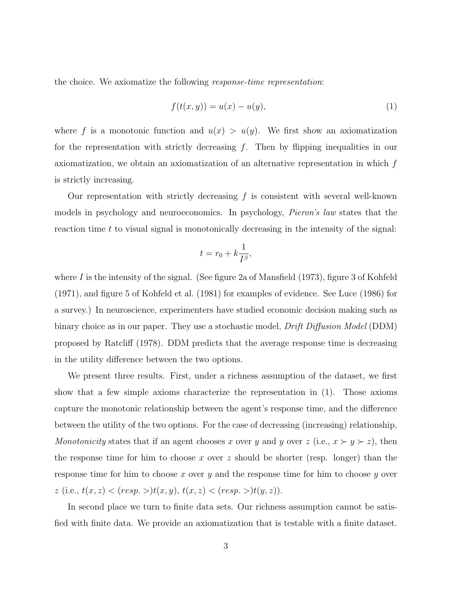the choice. We axiomatize the following response-time representation:

$$
f(t(x, y)) = u(x) - u(y),
$$
\n(1)

where f is a monotonic function and  $u(x) > u(y)$ . We first show an axiomatization for the representation with strictly decreasing  $f$ . Then by flipping inequalities in our axiomatization, we obtain an axiomatization of an alternative representation in which f is strictly increasing.

Our representation with strictly decreasing  $f$  is consistent with several well-known models in psychology and neuroeconomics. In psychology, Pieron's law states that the reaction time t to visual signal is monotonically decreasing in the intensity of the signal:

$$
t = r_0 + k \frac{1}{I^{\beta}},
$$

where I is the intensity of the signal. (See figure 2a of Mansfield  $(1973)$ , figure 3 of Kohfeld (1971), and figure 5 of Kohfeld et al. (1981) for examples of evidence. See Luce (1986) for a survey.) In neuroscience, experimenters have studied economic decision making such as binary choice as in our paper. They use a stochastic model, *Drift Diffusion Model* (DDM) proposed by Ratcliff (1978). DDM predicts that the average response time is decreasing in the utility difference between the two options.

We present three results. First, under a richness assumption of the dataset, we first show that a few simple axioms characterize the representation in (1). Those axioms capture the monotonic relationship between the agent's response time, and the difference between the utility of the two options. For the case of decreasing (increasing) relationship, Monotonicity states that if an agent chooses x over y and y over  $z$  (i.e.,  $x \succ y \succ z$ ), then the response time for him to choose x over z should be shorter (resp. longer) than the response time for him to choose x over y and the response time for him to choose y over  $z$  (i.e.,  $t(x, z) < (resp. >) t(x, y), t(x, z) < (resp. >) t(y, z)).$ 

In second place we turn to finite data sets. Our richness assumption cannot be satisfied with finite data. We provide an axiomatization that is testable with a finite dataset.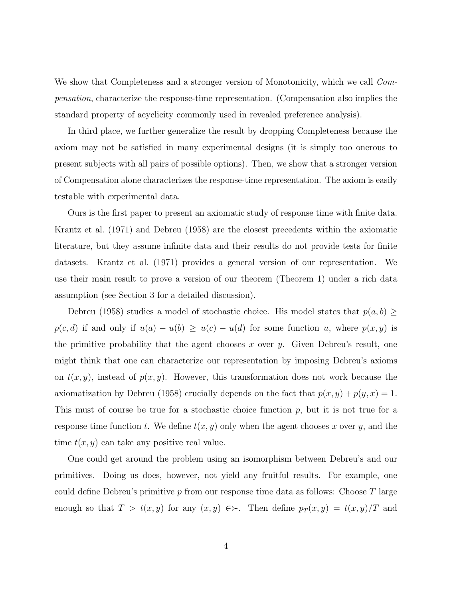We show that Completeness and a stronger version of Monotonicity, which we call *Com*pensation, characterize the response-time representation. (Compensation also implies the standard property of acyclicity commonly used in revealed preference analysis).

In third place, we further generalize the result by dropping Completeness because the axiom may not be satisfied in many experimental designs (it is simply too onerous to present subjects with all pairs of possible options). Then, we show that a stronger version of Compensation alone characterizes the response-time representation. The axiom is easily testable with experimental data.

Ours is the first paper to present an axiomatic study of response time with finite data. Krantz et al. (1971) and Debreu (1958) are the closest precedents within the axiomatic literature, but they assume infinite data and their results do not provide tests for finite datasets. Krantz et al. (1971) provides a general version of our representation. We use their main result to prove a version of our theorem (Theorem 1) under a rich data assumption (see Section 3 for a detailed discussion).

Debreu (1958) studies a model of stochastic choice. His model states that  $p(a, b) \geq$  $p(c, d)$  if and only if  $u(a) - u(b) \ge u(c) - u(d)$  for some function u, where  $p(x, y)$  is the primitive probability that the agent chooses  $x$  over  $y$ . Given Debreu's result, one might think that one can characterize our representation by imposing Debreu's axioms on  $t(x, y)$ , instead of  $p(x, y)$ . However, this transformation does not work because the axiomatization by Debreu (1958) crucially depends on the fact that  $p(x, y) + p(y, x) = 1$ . This must of course be true for a stochastic choice function  $p$ , but it is not true for a response time function t. We define  $t(x, y)$  only when the agent chooses x over y, and the time  $t(x, y)$  can take any positive real value.

One could get around the problem using an isomorphism between Debreu's and our primitives. Doing us does, however, not yield any fruitful results. For example, one could define Debreu's primitive  $p$  from our response time data as follows: Choose  $T$  large enough so that  $T > t(x, y)$  for any  $(x, y) \in \succ$ . Then define  $p_T(x, y) = t(x, y)/T$  and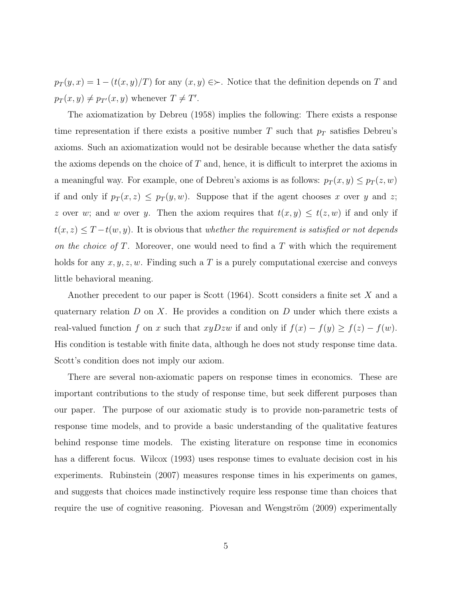$p_T(y, x) = 1 - (t(x, y)/T)$  for any  $(x, y) \in \succ$ . Notice that the definition depends on T and  $p_T(x, y) \neq p_{T'}(x, y)$  whenever  $T \neq T'$ .

The axiomatization by Debreu (1958) implies the following: There exists a response time representation if there exists a positive number  $T$  such that  $p_T$  satisfies Debreu's axioms. Such an axiomatization would not be desirable because whether the data satisfy the axioms depends on the choice of  $T$  and, hence, it is difficult to interpret the axioms in a meaningful way. For example, one of Debreu's axioms is as follows:  $p_T(x, y) \leq p_T(z, w)$ if and only if  $p_T(x, z) \leq p_T(y, w)$ . Suppose that if the agent chooses x over y and z; z over w; and w over y. Then the axiom requires that  $t(x, y) \leq t(z, w)$  if and only if  $t(x, z) \leq T - t(w, y)$ . It is obvious that whether the requirement is satisfied or not depends on the choice of  $T$ . Moreover, one would need to find a  $T$  with which the requirement holds for any  $x, y, z, w$ . Finding such a T is a purely computational exercise and conveys little behavioral meaning.

Another precedent to our paper is Scott  $(1964)$ . Scott considers a finite set X and a quaternary relation  $D$  on  $X$ . He provides a condition on  $D$  under which there exists a real-valued function f on x such that  $xyDzw$  if and only if  $f(x) - f(y) \ge f(z) - f(w)$ . His condition is testable with finite data, although he does not study response time data. Scott's condition does not imply our axiom.

There are several non-axiomatic papers on response times in economics. These are important contributions to the study of response time, but seek different purposes than our paper. The purpose of our axiomatic study is to provide non-parametric tests of response time models, and to provide a basic understanding of the qualitative features behind response time models. The existing literature on response time in economics has a different focus. Wilcox (1993) uses response times to evaluate decision cost in his experiments. Rubinstein (2007) measures response times in his experiments on games, and suggests that choices made instinctively require less response time than choices that require the use of cognitive reasoning. Piovesan and Wengström  $(2009)$  experimentally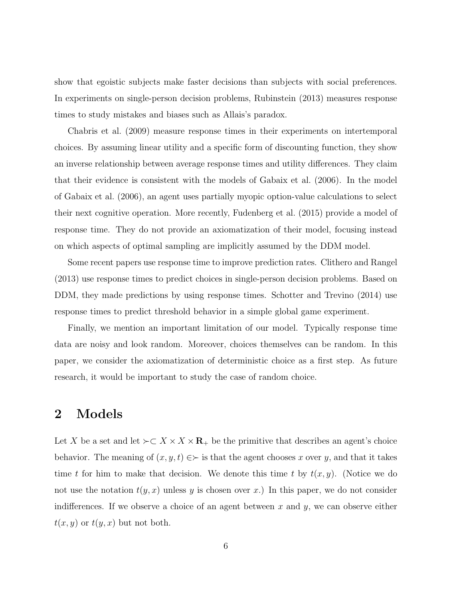show that egoistic subjects make faster decisions than subjects with social preferences. In experiments on single-person decision problems, Rubinstein (2013) measures response times to study mistakes and biases such as Allais's paradox.

Chabris et al. (2009) measure response times in their experiments on intertemporal choices. By assuming linear utility and a specific form of discounting function, they show an inverse relationship between average response times and utility differences. They claim that their evidence is consistent with the models of Gabaix et al. (2006). In the model of Gabaix et al. (2006), an agent uses partially myopic option-value calculations to select their next cognitive operation. More recently, Fudenberg et al. (2015) provide a model of response time. They do not provide an axiomatization of their model, focusing instead on which aspects of optimal sampling are implicitly assumed by the DDM model.

Some recent papers use response time to improve prediction rates. Clithero and Rangel (2013) use response times to predict choices in single-person decision problems. Based on DDM, they made predictions by using response times. Schotter and Trevino (2014) use response times to predict threshold behavior in a simple global game experiment.

Finally, we mention an important limitation of our model. Typically response time data are noisy and look random. Moreover, choices themselves can be random. In this paper, we consider the axiomatization of deterministic choice as a first step. As future research, it would be important to study the case of random choice.

#### 2 Models

Let X be a set and let  $\succ \subset X \times X \times \mathbf{R}_{+}$  be the primitive that describes an agent's choice behavior. The meaning of  $(x, y, t) \in \succ$  is that the agent chooses x over y, and that it takes time t for him to make that decision. We denote this time t by  $t(x, y)$ . (Notice we do not use the notation  $t(y, x)$  unless y is chosen over x.) In this paper, we do not consider indifferences. If we observe a choice of an agent between x and y, we can observe either  $t(x, y)$  or  $t(y, x)$  but not both.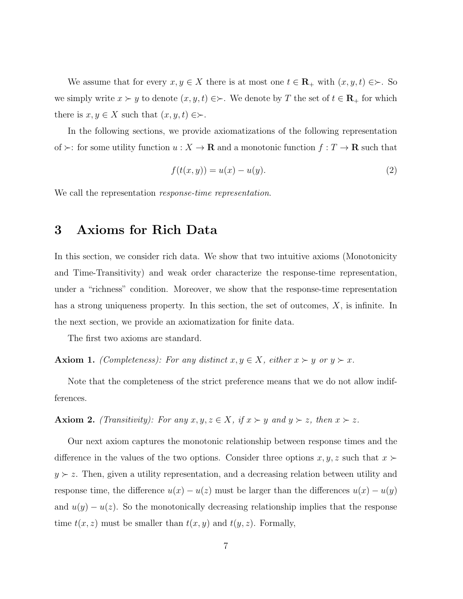We assume that for every  $x, y \in X$  there is at most one  $t \in \mathbf{R}_+$  with  $(x, y, t) \in \succ$ . So we simply write  $x \succ y$  to denote  $(x, y, t) \in \succ$ . We denote by T the set of  $t \in \mathbb{R}_+$  for which there is  $x, y \in X$  such that  $(x, y, t) \in \succ$ .

In the following sections, we provide axiomatizations of the following representation of  $\succ$ : for some utility function  $u: X \to \mathbf{R}$  and a monotonic function  $f: T \to \mathbf{R}$  such that

$$
f(t(x, y)) = u(x) - u(y).
$$
 (2)

We call the representation *response-time representation*.

## 3 Axioms for Rich Data

In this section, we consider rich data. We show that two intuitive axioms (Monotonicity and Time-Transitivity) and weak order characterize the response-time representation, under a "richness" condition. Moreover, we show that the response-time representation has a strong uniqueness property. In this section, the set of outcomes, X, is infinite. In the next section, we provide an axiomatization for finite data.

The first two axioms are standard.

**Axiom 1.** (Completeness): For any distinct  $x, y \in X$ , either  $x \succ y$  or  $y \succ x$ .

Note that the completeness of the strict preference means that we do not allow indifferences.

Axiom 2. (Transitivity): For any  $x, y, z \in X$ , if  $x \succ y$  and  $y \succ z$ , then  $x \succ z$ .

Our next axiom captures the monotonic relationship between response times and the difference in the values of the two options. Consider three options  $x, y, z$  such that  $x \succ$  $y \succ z$ . Then, given a utility representation, and a decreasing relation between utility and response time, the difference  $u(x) - u(z)$  must be larger than the differences  $u(x) - u(y)$ and  $u(y) - u(z)$ . So the monotonically decreasing relationship implies that the response time  $t(x, z)$  must be smaller than  $t(x, y)$  and  $t(y, z)$ . Formally,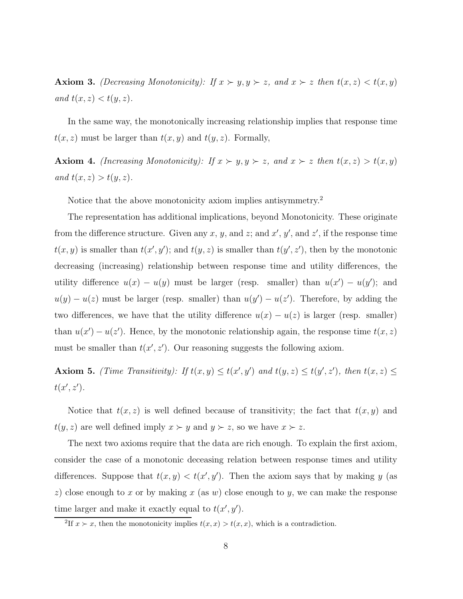Axiom 3. (Decreasing Monotonicity): If  $x \succ y, y \succ z$ , and  $x \succ z$  then  $t(x, z) < t(x, y)$ and  $t(x, z) < t(y, z)$ .

In the same way, the monotonically increasing relationship implies that response time  $t(x, z)$  must be larger than  $t(x, y)$  and  $t(y, z)$ . Formally,

Axiom 4. (Increasing Monotonicity): If  $x \succ y, y \succ z$ , and  $x \succ z$  then  $t(x, z) > t(x, y)$ and  $t(x, z) > t(y, z)$ .

Notice that the above monotonicity axiom implies antisymmetry.<sup>2</sup>

The representation has additional implications, beyond Monotonicity. These originate from the difference structure. Given any x, y, and z; and  $x'$ ,  $y'$ , and  $z'$ , if the response time  $t(x, y)$  is smaller than  $t(x', y')$ ; and  $t(y, z)$  is smaller than  $t(y', z')$ , then by the monotonic decreasing (increasing) relationship between response time and utility differences, the utility difference  $u(x) - u(y)$  must be larger (resp. smaller) than  $u(x') - u(y')$ ; and  $u(y) - u(z)$  must be larger (resp. smaller) than  $u(y') - u(z')$ . Therefore, by adding the two differences, we have that the utility difference  $u(x) - u(z)$  is larger (resp. smaller) than  $u(x') - u(z')$ . Hence, by the monotonic relationship again, the response time  $t(x, z)$ must be smaller than  $t(x', z')$ . Our reasoning suggests the following axiom.

Axiom 5. (Time Transitivity): If  $t(x, y) \le t(x', y')$  and  $t(y, z) \le t(y', z')$ , then  $t(x, z) \le$  $t(x', z').$ 

Notice that  $t(x, z)$  is well defined because of transitivity; the fact that  $t(x, y)$  and  $t(y, z)$  are well defined imply  $x \succ y$  and  $y \succ z$ , so we have  $x \succ z$ .

The next two axioms require that the data are rich enough. To explain the first axiom, consider the case of a monotonic deceasing relation between response times and utility differences. Suppose that  $t(x, y) < t(x', y')$ . Then the axiom says that by making y (as z) close enough to x or by making  $x$  (as  $w$ ) close enough to  $y$ , we can make the response time larger and make it exactly equal to  $t(x', y')$ .

<sup>&</sup>lt;sup>2</sup>If  $x > x$ , then the monotonicity implies  $t(x, x) > t(x, x)$ , which is a contradiction.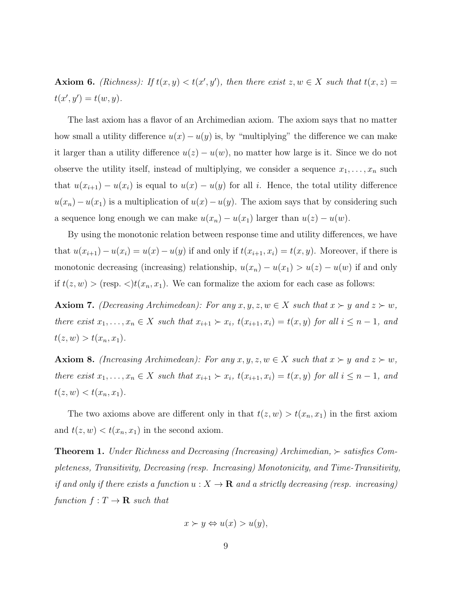**Axiom 6.** (Richness): If  $t(x, y) < t(x', y')$ , then there exist  $z, w \in X$  such that  $t(x, z) =$  $t(x', y') = t(w, y).$ 

The last axiom has a flavor of an Archimedian axiom. The axiom says that no matter how small a utility difference  $u(x) - u(y)$  is, by "multiplying" the difference we can make it larger than a utility difference  $u(z) - u(w)$ , no matter how large is it. Since we do not observe the utility itself, instead of multiplying, we consider a sequence  $x_1, \ldots, x_n$  such that  $u(x_{i+1}) - u(x_i)$  is equal to  $u(x) - u(y)$  for all i. Hence, the total utility difference  $u(x_n) - u(x_1)$  is a multiplication of  $u(x) - u(y)$ . The axiom says that by considering such a sequence long enough we can make  $u(x_n) - u(x_1)$  larger than  $u(z) - u(w)$ .

By using the monotonic relation between response time and utility differences, we have that  $u(x_{i+1}) - u(x_i) = u(x) - u(y)$  if and only if  $t(x_{i+1}, x_i) = t(x, y)$ . Moreover, if there is monotonic decreasing (increasing) relationship,  $u(x_n) - u(x_1) > u(z) - u(w)$  if and only if  $t(z, w) >$  (resp.  $\langle t(x_n, x_1) \rangle$ . We can formalize the axiom for each case as follows:

**Axiom 7.** (Decreasing Archimedean): For any  $x, y, z, w \in X$  such that  $x \succ y$  and  $z \succ w$ , there exist  $x_1, \ldots, x_n \in X$  such that  $x_{i+1} \succ x_i$ ,  $t(x_{i+1}, x_i) = t(x, y)$  for all  $i \leq n-1$ , and  $t(z, w) > t(x_n, x_1).$ 

**Axiom 8.** (Increasing Archimedean): For any  $x, y, z, w \in X$  such that  $x \succ y$  and  $z \succ w$ , there exist  $x_1, \ldots, x_n \in X$  such that  $x_{i+1} \succ x_i$ ,  $t(x_{i+1}, x_i) = t(x, y)$  for all  $i \leq n-1$ , and  $t(z, w) < t(x_n, x_1)$ .

The two axioms above are different only in that  $t(z, w) > t(x_n, x_1)$  in the first axiom and  $t(z, w) < t(x_n, x_1)$  in the second axiom.

**Theorem 1.** Under Richness and Decreasing (Increasing) Archimedian,  $\succ$  satisfies Completeness, Transitivity, Decreasing (resp. Increasing) Monotonicity, and Time-Transitivity, if and only if there exists a function  $u : X \to \mathbf{R}$  and a strictly decreasing (resp. increasing) function  $f: T \to \mathbf{R}$  such that

$$
x \succ y \Leftrightarrow u(x) > u(y),
$$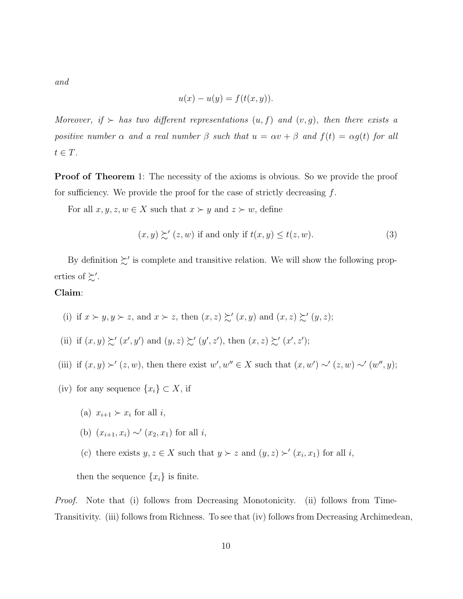and

$$
u(x) - u(y) = f(t(x, y)).
$$

Moreover, if  $\succ$  has two different representations  $(u, f)$  and  $(v, g)$ , then there exists a positive number  $\alpha$  and a real number  $\beta$  such that  $u = \alpha v + \beta$  and  $f(t) = \alpha g(t)$  for all  $t \in T$ .

**Proof of Theorem** 1: The necessity of the axioms is obvious. So we provide the proof for sufficiency. We provide the proof for the case of strictly decreasing  $f$ .

For all  $x, y, z, w \in X$  such that  $x \succ y$  and  $z \succ w$ , define

$$
(x, y) \succsim' (z, w) \text{ if and only if } t(x, y) \le t(z, w). \tag{3}
$$

By definition  $\succsim'$  is complete and transitive relation. We will show the following properties of  $\succsim'$ .

#### Claim:

- (i) if  $x \succ y, y \succ z$ , and  $x \succ z$ , then  $(x, z) \succsim' (x, y)$  and  $(x, z) \succsim' (y, z)$ ;
- (ii) if  $(x, y) \succsim' (x', y')$  and  $(y, z) \succsim' (y', z')$ , then  $(x, z) \succsim' (x', z')$ ;
- (iii) if  $(x, y) \succ' (z, w)$ , then there exist  $w', w'' \in X$  such that  $(x, w') \sim' (z, w) \sim' (w'', y)$ ;
- (iv) for any sequence  $\{x_i\} \subset X$ , if
	- (a)  $x_{i+1} \succ x_i$  for all i,
	- (b)  $(x_{i+1}, x_i) \sim' (x_2, x_1)$  for all *i*,
	- (c) there exists  $y, z \in X$  such that  $y \succ z$  and  $(y, z) \succ' (x_i, x_1)$  for all i,

then the sequence  $\{x_i\}$  is finite.

Proof. Note that (i) follows from Decreasing Monotonicity. (ii) follows from Time-Transitivity. (iii) follows from Richness. To see that (iv) follows from Decreasing Archimedean,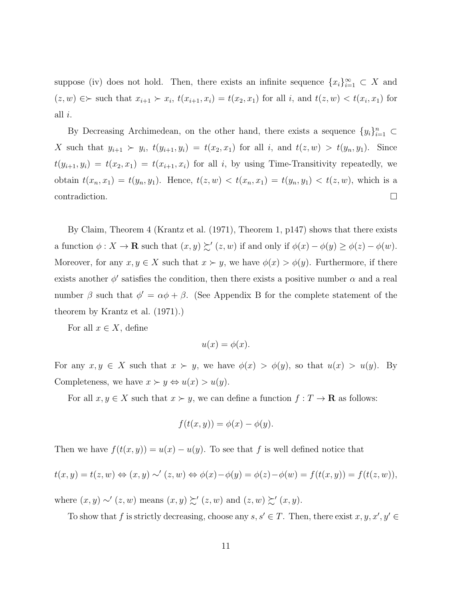suppose (iv) does not hold. Then, there exists an infinite sequence  ${x_i}_{i=1}^{\infty} \subset X$  and  $(z, w) \in \succ$  such that  $x_{i+1} \succ x_i$ ,  $t(x_{i+1}, x_i) = t(x_2, x_1)$  for all i, and  $t(z, w) < t(x_i, x_1)$  for all i.

By Decreasing Archimedean, on the other hand, there exists a sequence  $\{y_i\}_{i=1}^n$  ⊂ X such that  $y_{i+1} > y_i$ ,  $t(y_{i+1}, y_i) = t(x_2, x_1)$  for all i, and  $t(z, w) > t(y_n, y_1)$ . Since  $t(y_{i+1}, y_i) = t(x_2, x_1) = t(x_{i+1}, x_i)$  for all i, by using Time-Transitivity repeatedly, we obtain  $t(x_n, x_1) = t(y_n, y_1)$ . Hence,  $t(z, w) < t(x_n, x_1) = t(y_n, y_1) < t(z, w)$ , which is a contradiction.  $\Box$ 

By Claim, Theorem 4 (Krantz et al. (1971), Theorem 1, p147) shows that there exists a function  $\phi: X \to \mathbf{R}$  such that  $(x, y) \succsim' (z, w)$  if and only if  $\phi(x) - \phi(y) \ge \phi(z) - \phi(w)$ . Moreover, for any  $x, y \in X$  such that  $x \succ y$ , we have  $\phi(x) > \phi(y)$ . Furthermore, if there exists another  $\phi'$  satisfies the condition, then there exists a positive number  $\alpha$  and a real number  $\beta$  such that  $\phi' = \alpha \phi + \beta$ . (See Appendix B for the complete statement of the theorem by Krantz et al. (1971).)

For all  $x \in X$ , define

$$
u(x) = \phi(x).
$$

For any  $x, y \in X$  such that  $x \succ y$ , we have  $\phi(x) > \phi(y)$ , so that  $u(x) > u(y)$ . By Completeness, we have  $x \succ y \Leftrightarrow u(x) > u(y)$ .

For all  $x, y \in X$  such that  $x \succ y$ , we can define a function  $f: T \to \mathbf{R}$  as follows:

$$
f(t(x, y)) = \phi(x) - \phi(y).
$$

Then we have  $f(t(x, y)) = u(x) - u(y)$ . To see that f is well defined notice that

$$
t(x,y) = t(z,w) \Leftrightarrow (x,y) \sim' (z,w) \Leftrightarrow \phi(x) - \phi(y) = \phi(z) - \phi(w) = f(t(x,y)) = f(t(z,w)),
$$

where  $(x, y) \sim'(z, w)$  means  $(x, y) \succsim'(z, w)$  and  $(z, w) \succsim'(x, y)$ .

To show that f is strictly decreasing, choose any  $s, s' \in T$ . Then, there exist  $x, y, x', y' \in$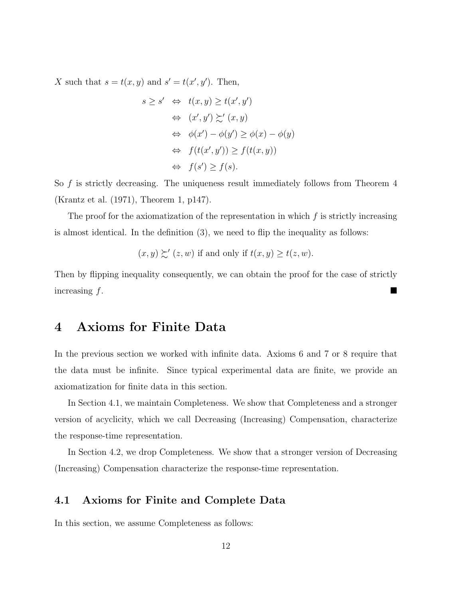X such that  $s = t(x, y)$  and  $s' = t(x', y')$ . Then,

$$
s \ge s' \Leftrightarrow t(x, y) \ge t(x', y')
$$
  
\n
$$
\Leftrightarrow (x', y') \succsim' (x, y)
$$
  
\n
$$
\Leftrightarrow \phi(x') - \phi(y') \ge \phi(x) - \phi(y)
$$
  
\n
$$
\Leftrightarrow f(t(x', y')) \ge f(t(x, y))
$$
  
\n
$$
\Leftrightarrow f(s') \ge f(s).
$$

So  $f$  is strictly decreasing. The uniqueness result immediately follows from Theorem  $4$ (Krantz et al. (1971), Theorem 1, p147).

The proof for the axiomatization of the representation in which  $f$  is strictly increasing is almost identical. In the definition (3), we need to flip the inequality as follows:

$$
(x, y) \succsim' (z, w)
$$
 if and only if  $t(x, y) \ge t(z, w)$ .

Then by flipping inequality consequently, we can obtain the proof for the case of strictly  $\frac{1}{2}$  increasing  $f$ .

## 4 Axioms for Finite Data

In the previous section we worked with infinite data. Axioms 6 and 7 or 8 require that the data must be infinite. Since typical experimental data are finite, we provide an axiomatization for finite data in this section.

In Section 4.1, we maintain Completeness. We show that Completeness and a stronger version of acyclicity, which we call Decreasing (Increasing) Compensation, characterize the response-time representation.

In Section 4.2, we drop Completeness. We show that a stronger version of Decreasing (Increasing) Compensation characterize the response-time representation.

#### 4.1 Axioms for Finite and Complete Data

In this section, we assume Completeness as follows: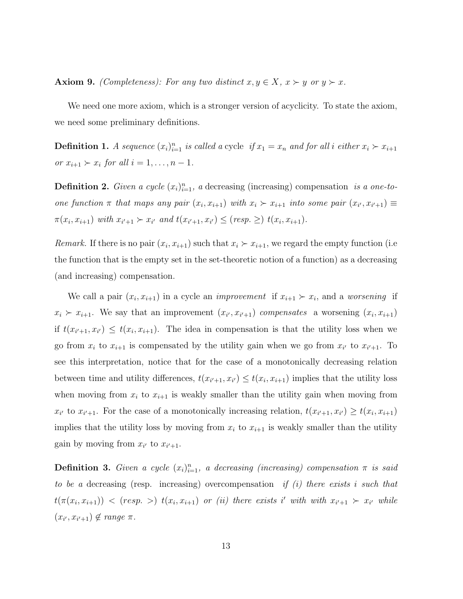Axiom 9. (Completeness): For any two distinct  $x, y \in X$ ,  $x \succ y$  or  $y \succ x$ .

We need one more axiom, which is a stronger version of acyclicity. To state the axiom, we need some preliminary definitions.

**Definition 1.** A sequence  $(x_i)_{i=1}^n$  is called a cycle if  $x_1 = x_n$  and for all i either  $x_i \succ x_{i+1}$ or  $x_{i+1} \succ x_i$  for all  $i = 1, \ldots, n-1$ .

**Definition 2.** Given a cycle  $(x_i)_{i=1}^n$ , a decreasing (increasing) compensation is a one-toone function  $\pi$  that maps any pair  $(x_i, x_{i+1})$  with  $x_i \succ x_{i+1}$  into some pair  $(x_{i'}, x_{i'+1}) \equiv$  $\pi(x_i, x_{i+1})$  with  $x_{i'+1} \succ x_{i'}$  and  $t(x_{i'+1}, x_{i'}) \le (resp. \ge) t(x_i, x_{i+1}).$ 

*Remark*. If there is no pair  $(x_i, x_{i+1})$  such that  $x_i > x_{i+1}$ , we regard the empty function (i.e. the function that is the empty set in the set-theoretic notion of a function) as a decreasing (and increasing) compensation.

We call a pair  $(x_i, x_{i+1})$  in a cycle an *improvement* if  $x_{i+1} \succ x_i$ , and a *worsening* if  $x_i \succ x_{i+1}$ . We say that an improvement  $(x_{i'}, x_{i'+1})$  compensates a worsening  $(x_i, x_{i+1})$ if  $t(x_{i'+1}, x_{i'}) \leq t(x_i, x_{i+1})$ . The idea in compensation is that the utility loss when we go from  $x_i$  to  $x_{i+1}$  is compensated by the utility gain when we go from  $x_{i'}$  to  $x_{i'+1}$ . To see this interpretation, notice that for the case of a monotonically decreasing relation between time and utility differences,  $t(x_{i'+1}, x_{i'}) \leq t(x_i, x_{i+1})$  implies that the utility loss when moving from  $x_i$  to  $x_{i+1}$  is weakly smaller than the utility gain when moving from  $x_{i'}$  to  $x_{i'+1}$ . For the case of a monotonically increasing relation,  $t(x_{i'+1}, x_{i'}) \ge t(x_i, x_{i+1})$ implies that the utility loss by moving from  $x_i$  to  $x_{i+1}$  is weakly smaller than the utility gain by moving from  $x_{i'}$  to  $x_{i'+1}$ .

**Definition 3.** Given a cycle  $(x_i)_{i=1}^n$ , a decreasing (increasing) compensation  $\pi$  is said to be a decreasing (resp. increasing) overcompensation if  $(i)$  there exists i such that  $t(\pi(x_i, x_{i+1}))$  < (resp. >)  $t(x_i, x_{i+1})$  or (ii) there exists i' with with  $x_{i'+1}$   $\succ x_{i'}$  while  $(x_{i'}, x_{i'+1}) \notin range \pi$ .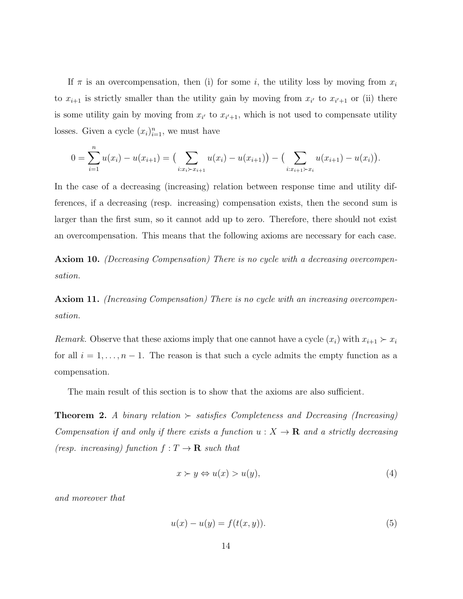If  $\pi$  is an overcompensation, then (i) for some i, the utility loss by moving from  $x_i$ to  $x_{i+1}$  is strictly smaller than the utility gain by moving from  $x_{i'}$  to  $x_{i'+1}$  or (ii) there is some utility gain by moving from  $x_{i'}$  to  $x_{i'+1}$ , which is not used to compensate utility losses. Given a cycle  $(x_i)_{i=1}^n$ , we must have

$$
0 = \sum_{i=1}^{n} u(x_i) - u(x_{i+1}) = \left(\sum_{i:x_i \succ x_{i+1}} u(x_i) - u(x_{i+1})\right) - \left(\sum_{i:x_{i+1} \succ x_i} u(x_{i+1}) - u(x_i)\right).
$$

In the case of a decreasing (increasing) relation between response time and utility differences, if a decreasing (resp. increasing) compensation exists, then the second sum is larger than the first sum, so it cannot add up to zero. Therefore, there should not exist an overcompensation. This means that the following axioms are necessary for each case.

Axiom 10. (Decreasing Compensation) There is no cycle with a decreasing overcompensation.

Axiom 11. *(Increasing Compensation)* There is no cycle with an increasing overcompensation.

*Remark.* Observe that these axioms imply that one cannot have a cycle  $(x_i)$  with  $x_{i+1} > x_i$ for all  $i = 1, \ldots, n - 1$ . The reason is that such a cycle admits the empty function as a compensation.

The main result of this section is to show that the axioms are also sufficient.

**Theorem 2.** A binary relation  $\succ$  satisfies Completeness and Decreasing (Increasing) Compensation if and only if there exists a function  $u : X \to \mathbf{R}$  and a strictly decreasing (resp. increasing) function  $f: T \to \mathbf{R}$  such that

$$
x \succ y \Leftrightarrow u(x) > u(y),\tag{4}
$$

and moreover that

$$
u(x) - u(y) = f(t(x, y)).
$$
\n(5)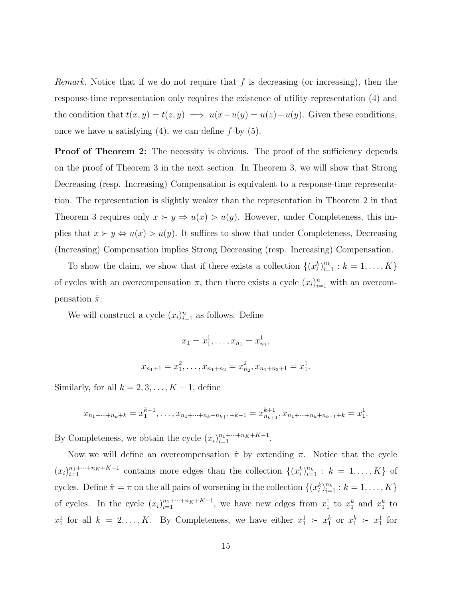Remark. Notice that if we do not require that f is decreasing (or increasing), then the response-time representation only requires the existence of utility representation (4) and the condition that  $t(x, y) = t(z, y) \implies u(x - u(y)) = u(z) - u(y)$ . Given these conditions, once we have u satisfying  $(4)$ , we can define f by  $(5)$ .

**Proof of Theorem 2:** The necessity is obvious. The proof of the sufficiency depends on the proof of Theorem 3 in the next section. In Theorem 3, we will show that Strong Decreasing (resp. Increasing) Compensation is equivalent to a response-time representation. The representation is slightly weaker than the representation in Theorem 2 in that Theorem 3 requires only  $x \succ y \Rightarrow u(x) > u(y)$ . However, under Completeness, this implies that  $x \succ y \Leftrightarrow u(x) > u(y)$ . It suffices to show that under Completeness, Decreasing (Increasing) Compensation implies Strong Decreasing (resp. Increasing) Compensation.

To show the claim, we show that if there exists a collection  $\{(x_i^k)_{i=1}^{n_k} : k = 1, \ldots, K\}$ of cycles with an overcompensation  $\pi$ , then there exists a cycle  $(x_i)_{i=1}^n$  with an overcompensation  $\hat{\pi}$ .

We will construct a cycle  $(x_i)_{i=1}^n$  as follows. Define

$$
x_1 = x_1^1, \dots, x_{n_1} = x_{n_1}^1,
$$
  

$$
x_{n_1+1} = x_1^2, \dots, x_{n_1+n_2} = x_{n_2}^2, x_{n_1+n_2+1} = x_1^1.
$$

Similarly, for all  $k = 2, 3, \ldots, K - 1$ , define

$$
x_{n_1+\cdots+n_k+k}=x_1^{k+1},\ldots,x_{n_1+\cdots+n_k+n_{k+1}+k-1}=x_{n_{k+1}}^{k+1},x_{n_1+\cdots+n_k+n_{k+1}+k}=x_1^1.
$$

By Completeness, we obtain the cycle  $(x_i)_{i=1}^{n_1 + \dots + n_K + K-1}$ .

Now we will define an overcompensation  $\hat{\pi}$  by extending  $\pi$ . Notice that the cycle  $(x_i)_{i=1}^{n_1+\cdots+n_K+K-1}$  contains more edges than the collection  $\{(x_i^k)_{i=1}^{n_k}: k = 1,\ldots,K\}$  of cycles. Define  $\hat{\pi} = \pi$  on the all pairs of worsening in the collection  $\{(x_i^k)_{i=1}^{n_k} : k = 1, \ldots, K\}$ of cycles. In the cycle  $(x_i)_{i=1}^{n_1+\cdots+n_K+K-1}$ , we have new edges from  $x_1^1$  to  $x_1^k$  and  $x_1^k$  to  $x_1^1$  for all  $k = 2, ..., K$ . By Completeness, we have either  $x_1^1 \succ x_1^k$  or  $x_1^k \succ x_1^1$  for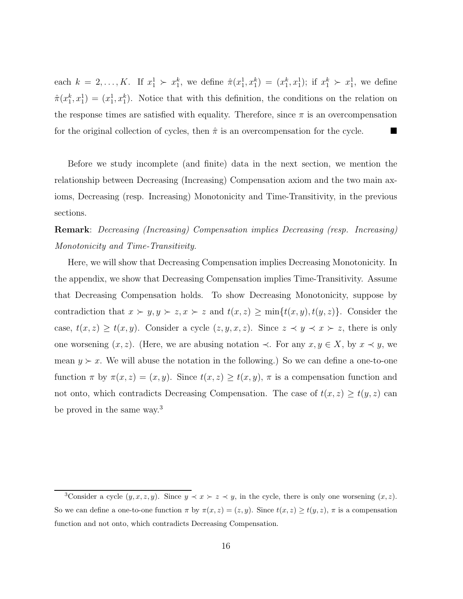each  $k = 2, ..., K$ . If  $x_1^1 \succ x_1^k$ , we define  $\hat{\pi}(x_1^1, x_1^k) = (x_1^k, x_1^1)$ ; if  $x_1^k \succ x_1^1$ , we define  $\hat{\pi}(x_1^k, x_1^1) = (x_1^1, x_1^k)$ . Notice that with this definition, the conditions on the relation on the response times are satisfied with equality. Therefore, since  $\pi$  is an overcompensation for the original collection of cycles, then  $\hat{\pi}$  is an overcompensation for the cycle.

Before we study incomplete (and finite) data in the next section, we mention the relationship between Decreasing (Increasing) Compensation axiom and the two main axioms, Decreasing (resp. Increasing) Monotonicity and Time-Transitivity, in the previous sections.

## Remark: Decreasing (Increasing) Compensation implies Decreasing (resp. Increasing) Monotonicity and Time-Transitivity.

Here, we will show that Decreasing Compensation implies Decreasing Monotonicity. In the appendix, we show that Decreasing Compensation implies Time-Transitivity. Assume that Decreasing Compensation holds. To show Decreasing Monotonicity, suppose by contradiction that  $x \succ y, y \succ z, x \succ z$  and  $t(x, z) \ge \min\{t(x, y), t(y, z)\}\)$ . Consider the case,  $t(x, z) \ge t(x, y)$ . Consider a cycle  $(z, y, x, z)$ . Since  $z \prec y \prec x \succ z$ , there is only one worsening  $(x, z)$ . (Here, we are abusing notation  $\prec$ . For any  $x, y \in X$ , by  $x \prec y$ , we mean  $y \succ x$ . We will abuse the notation in the following.) So we can define a one-to-one function  $\pi$  by  $\pi(x, z) = (x, y)$ . Since  $t(x, z) \ge t(x, y)$ ,  $\pi$  is a compensation function and not onto, which contradicts Decreasing Compensation. The case of  $t(x, z) \ge t(y, z)$  can be proved in the same way.<sup>3</sup>

<sup>&</sup>lt;sup>3</sup>Consider a cycle  $(y, x, z, y)$ . Since  $y \prec x \succ z \prec y$ , in the cycle, there is only one worsening  $(x, z)$ . So we can define a one-to-one function  $\pi$  by  $\pi(x, z) = (z, y)$ . Since  $t(x, z) \ge t(y, z)$ ,  $\pi$  is a compensation function and not onto, which contradicts Decreasing Compensation.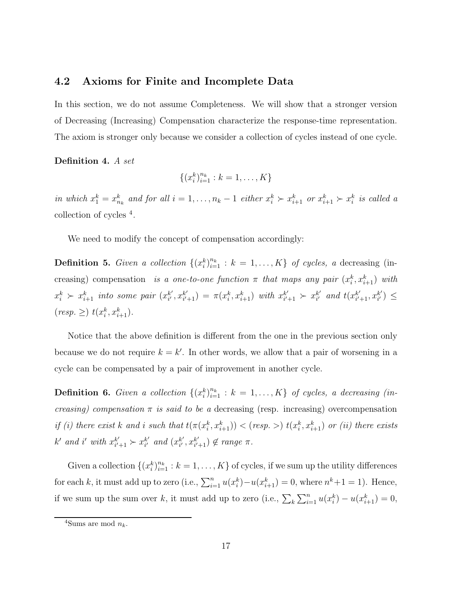#### 4.2 Axioms for Finite and Incomplete Data

In this section, we do not assume Completeness. We will show that a stronger version of Decreasing (Increasing) Compensation characterize the response-time representation. The axiom is stronger only because we consider a collection of cycles instead of one cycle.

#### Definition 4. A set

$$
\{(x_i^k)_{i=1}^{n_k} : k = 1, \dots, K\}
$$

in which  $x_1^k = x_{n_k}^k$  and for all  $i = 1, \ldots, n_k - 1$  either  $x_i^k > x_{i+1}^k$  or  $x_{i+1}^k > x_i^k$  is called a collection of cycles <sup>4</sup> .

We need to modify the concept of compensation accordingly:

**Definition 5.** Given a collection  $\{(x_i^k)_{i=1}^{n_k} : k = 1, ..., K\}$  of cycles, a decreasing (increasing) compensation is a one-to-one function  $\pi$  that maps any pair  $(x_i^k, x_{i+1}^k)$  with  $x_i^k$   $\succ x_{i+1}^k$  into some pair  $(x_{i'}^{k'})$  $_{i^{\prime }}^{k^{\prime }},x_{i^{\prime }}^{k^{\prime }}$  $x_{i'+1}^{k'}$  =  $\pi(x_i^k, x_{i+1}^k)$  with  $x_{i'}^{k'}$ .  $x_{i'+1}^{k'} \succ x_{i'}^{k'}$  $_{i^{\prime }}^{k^{\prime }}$  and  $t(x_{i^{\prime }}^{k^{\prime }})$  $_{i'+1}^{k'}, x_{i'}^{k'}$  $_{i^{\prime }}^{k^{\prime }})\leq$  $(resp. \geq) t(x_i^k, x_{i+1}^k).$ 

Notice that the above definition is different from the one in the previous section only because we do not require  $k = k'$ . In other words, we allow that a pair of worsening in a cycle can be compensated by a pair of improvement in another cycle.

**Definition 6.** Given a collection  $\{(x_i^k)_{i=1}^{n_k} : k = 1, ..., K\}$  of cycles, a decreasing (increasing) compensation  $\pi$  is said to be a decreasing (resp. increasing) overcompensation if (i) there exist k and i such that  $t(\pi(x_i^k, x_{i+1}^k)) < (resp. >) t(x_i^k, x_{i+1}^k)$  or (ii) there exists  $k'$  and i' with  $x_{i'}^{k'}$  $x_{i'+1}^{k'} \succ x_{i'}^{k'}$  $_{i^{\prime }}^{k^{\prime }}$  and  $(x_{i^{\prime }}^{k^{\prime }})$  $_{i'}^{k'}, x_{i'}^{k'}$  $_{i'+1}^{k'} ) \notin range \pi$ .

Given a collection  $\{(x_i^k)_{i=1}^{n_k} : k = 1, \ldots, K\}$  of cycles, if we sum up the utility differences for each k, it must add up to zero (i.e.,  $\sum_{i=1}^{n} u(x_i^k) - u(x_{i+1}^k) = 0$ , where  $n^k + 1 = 1$ ). Hence, if we sum up the sum over k, it must add up to zero (i.e.,  $\sum_{k} \sum_{i=1}^{n} u(x_i^k) - u(x_{i+1}^k) = 0$ ,

<sup>&</sup>lt;sup>4</sup>Sums are mod  $n_k$ .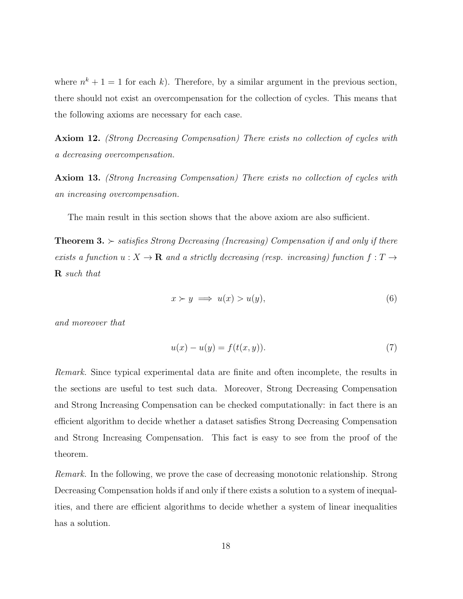where  $n^k + 1 = 1$  for each k). Therefore, by a similar argument in the previous section, there should not exist an overcompensation for the collection of cycles. This means that the following axioms are necessary for each case.

Axiom 12. (Strong Decreasing Compensation) There exists no collection of cycles with a decreasing overcompensation.

Axiom 13. (Strong Increasing Compensation) There exists no collection of cycles with an increasing overcompensation.

The main result in this section shows that the above axiom are also sufficient.

**Theorem 3.**  $\succ$  satisfies Strong Decreasing (Increasing) Compensation if and only if there exists a function  $u: X \to \mathbf{R}$  and a strictly decreasing (resp. increasing) function  $f: T \to$ R such that

$$
x \succ y \implies u(x) > u(y),\tag{6}
$$

and moreover that

$$
u(x) - u(y) = f(t(x, y)).
$$
\n(7)

Remark. Since typical experimental data are finite and often incomplete, the results in the sections are useful to test such data. Moreover, Strong Decreasing Compensation and Strong Increasing Compensation can be checked computationally: in fact there is an efficient algorithm to decide whether a dataset satisfies Strong Decreasing Compensation and Strong Increasing Compensation. This fact is easy to see from the proof of the theorem.

Remark. In the following, we prove the case of decreasing monotonic relationship. Strong Decreasing Compensation holds if and only if there exists a solution to a system of inequalities, and there are efficient algorithms to decide whether a system of linear inequalities has a solution.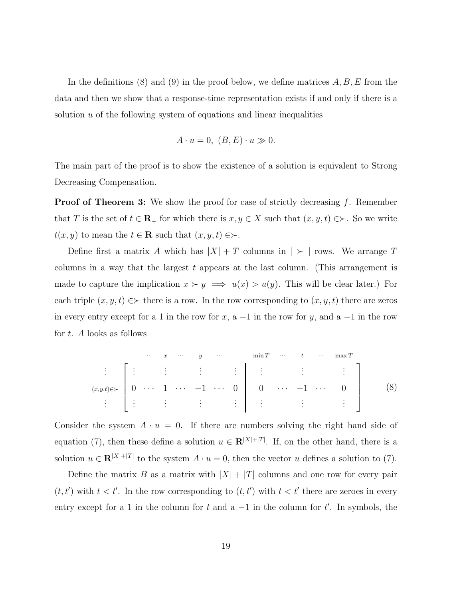In the definitions (8) and (9) in the proof below, we define matrices  $A, B, E$  from the data and then we show that a response-time representation exists if and only if there is a solution  $u$  of the following system of equations and linear inequalities

$$
A \cdot u = 0, \ (B, E) \cdot u \gg 0.
$$

The main part of the proof is to show the existence of a solution is equivalent to Strong Decreasing Compensation.

**Proof of Theorem 3:** We show the proof for case of strictly decreasing  $f$ . Remember that T is the set of  $t \in \mathbf{R}_+$  for which there is  $x, y \in X$  such that  $(x, y, t) \in \succ$ . So we write  $t(x, y)$  to mean the  $t \in \mathbf{R}$  such that  $(x, y, t) \in \succ$ .

Define first a matrix A which has  $|X| + T$  columns in  $| \succ |$  rows. We arrange T columns in a way that the largest  $t$  appears at the last column. (This arrangement is made to capture the implication  $x \succ y \implies u(x) > u(y)$ . This will be clear later.) For each triple  $(x, y, t) \in \succ$  there is a row. In the row corresponding to  $(x, y, t)$  there are zeros in every entry except for a 1 in the row for x, a  $-1$  in the row for y, and a  $-1$  in the row for t. A looks as follows

 ··· x ··· y ··· min T ··· t ··· max T . . . . . . . . . . . . . . . . . . . . . . . . (x,y,t)∈≻ 0 · · · 1 · · · −1 · · · 0 0 · · · −1 · · · 0 . . . . . . . . . . . . . . . . . . . . . . . . (8)

Consider the system  $A \cdot u = 0$ . If there are numbers solving the right hand side of equation (7), then these define a solution  $u \in \mathbb{R}^{|X|+|T|}$ . If, on the other hand, there is a solution  $u \in \mathbf{R}^{|X|+|T|}$  to the system  $A \cdot u = 0$ , then the vector u defines a solution to (7).

Define the matrix B as a matrix with  $|X| + |T|$  columns and one row for every pair  $(t, t')$  with  $t < t'$ . In the row corresponding to  $(t, t')$  with  $t < t'$  there are zeroes in every entry except for a 1 in the column for t and a  $-1$  in the column for t'. In symbols, the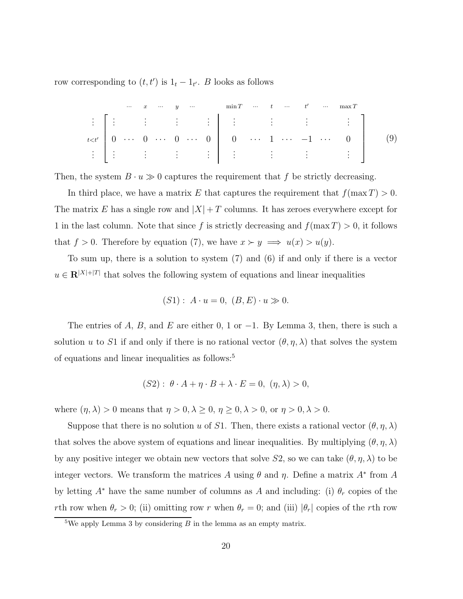row corresponding to  $(t, t')$  is  $1_t - 1_{t'}$ . B looks as follows

$$
\begin{array}{c}\n\vdots \\
t < t'\n\end{array}\n\begin{bmatrix}\n\vdots & \vdots & \vdots & \vdots & \vdots \\
0 & \cdots & 0 & \cdots & 0 & \cdots & 0 \\
\vdots & \vdots & \vdots & \vdots & \vdots & \vdots \\
0 & \cdots & 0 & \cdots & 0 & \cdots & 0 \\
\vdots & \vdots & \vdots & \vdots & \vdots & \vdots & \vdots \\
0 & \cdots & 0 & \cdots & 0 & \cdots & 1 & \cdots & -1 & \cdots & 0 \\
\vdots & \vdots & \vdots & \vdots & \vdots & \vdots & \vdots & \vdots \\
0 & \cdots & 0 & \cdots & 0 & \cdots & 0 & \cdots \\
\vdots & \vdots & \vdots & \vdots & \vdots & \vdots & \vdots & \vdots \\
0 & \cdots & 0 & \cdots & 0 & \cdots & 0 & \cdots \\
\end{bmatrix}\n\tag{9}
$$

Then, the system  $B \cdot u \gg 0$  captures the requirement that f be strictly decreasing.

In third place, we have a matrix E that captures the requirement that  $f(\max T) > 0$ . The matrix E has a single row and  $|X|+T$  columns. It has zeroes everywhere except for 1 in the last column. Note that since f is strictly decreasing and  $f(\max T) > 0$ , it follows that  $f > 0$ . Therefore by equation (7), we have  $x \succ y \implies u(x) > u(y)$ .

To sum up, there is a solution to system (7) and (6) if and only if there is a vector  $u \in \mathbb{R}^{|X|+|T|}$  that solves the following system of equations and linear inequalities

$$
(S1): A \cdot u = 0, (B, E) \cdot u \gg 0.
$$

The entries of A, B, and E are either 0, 1 or  $-1$ . By Lemma 3, then, there is such a solution u to S1 if and only if there is no rational vector  $(\theta, \eta, \lambda)$  that solves the system of equations and linear inequalities as follows:<sup>5</sup>

$$
(S2): \theta \cdot A + \eta \cdot B + \lambda \cdot E = 0, \ (\eta, \lambda) > 0,
$$

where  $(\eta, \lambda) > 0$  means that  $\eta > 0, \lambda \ge 0, \eta \ge 0, \lambda > 0$ , or  $\eta > 0, \lambda > 0$ .

Suppose that there is no solution u of S1. Then, there exists a rational vector  $(\theta, \eta, \lambda)$ that solves the above system of equations and linear inequalities. By multiplying  $(\theta, \eta, \lambda)$ by any positive integer we obtain new vectors that solve  $S2$ , so we can take  $(\theta, \eta, \lambda)$  to be integer vectors. We transform the matrices A using  $\theta$  and  $\eta$ . Define a matrix  $A^*$  from A by letting  $A^*$  have the same number of columns as A and including: (i)  $\theta_r$  copies of the rth row when  $\theta_r > 0$ ; (ii) omitting row r when  $\theta_r = 0$ ; and (iii)  $|\theta_r|$  copies of the rth row

<sup>&</sup>lt;sup>5</sup>We apply Lemma 3 by considering  $B$  in the lemma as an empty matrix.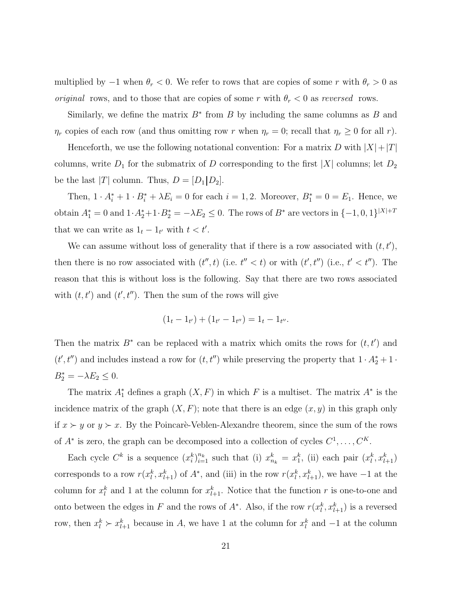multiplied by  $-1$  when  $\theta_r < 0$ . We refer to rows that are copies of some r with  $\theta_r > 0$  as *original* rows, and to those that are copies of some r with  $\theta_r < 0$  as reversed rows.

Similarly, we define the matrix  $B^*$  from B by including the same columns as B and  $\eta_r$  copies of each row (and thus omitting row r when  $\eta_r = 0$ ; recall that  $\eta_r \ge 0$  for all r).

Henceforth, we use the following notational convention: For a matrix D with  $|X|+|T|$ columns, write  $D_1$  for the submatrix of D corresponding to the first |X| columns; let  $D_2$ be the last  $|T|$  column. Thus,  $D = [D_1 | D_2]$ .

Then,  $1 \cdot A_i^* + 1 \cdot B_i^* + \lambda E_i = 0$  for each  $i = 1, 2$ . Moreover,  $B_1^* = 0 = E_1$ . Hence, we obtain  $A_1^* = 0$  and  $1 \cdot A_2^* + 1 \cdot B_2^* = -\lambda E_2 \leq 0$ . The rows of  $B^*$  are vectors in  $\{-1, 0, 1\}^{|X|+T}$ that we can write as  $1_t - 1_{t'}$  with  $t < t'$ .

We can assume without loss of generality that if there is a row associated with  $(t, t')$ , then there is no row associated with  $(t'',t)$  (i.e.  $t'' < t$ ) or with  $(t',t'')$  (i.e.,  $t' < t''$ ). The reason that this is without loss is the following. Say that there are two rows associated with  $(t, t')$  and  $(t', t'')$ . Then the sum of the rows will give

$$
(1t - 1t') + (1t' - 1t'') = 1t - 1t''.
$$

Then the matrix  $B^*$  can be replaced with a matrix which omits the rows for  $(t, t')$  and  $(t', t'')$  and includes instead a row for  $(t, t'')$  while preserving the property that  $1 \cdot A_2^* + 1 \cdot$  $B_2^* = -\lambda E_2 \leq 0.$ 

The matrix  $A_1^*$  defines a graph  $(X, F)$  in which F is a multiset. The matrix  $A^*$  is the incidence matrix of the graph  $(X, F)$ ; note that there is an edge  $(x, y)$  in this graph only if  $x \succ y$  or  $y \succ x$ . By the Poincarè-Veblen-Alexandre theorem, since the sum of the rows of  $A^*$  is zero, the graph can be decomposed into a collection of cycles  $C^1, \ldots, C^K$ .

Each cycle  $C^k$  is a sequence  $(x_i^k)_{i=1}^{n_k}$  such that (i)  $x_{n_k}^k = x_1^k$ , (ii) each pair  $(x_i^k, x_{l+1}^k)$ corresponds to a row  $r(x_l^k, x_{l+1}^k)$  of  $A^*$ , and (iii) in the row  $r(x_l^k, x_{l+1}^k)$ , we have  $-1$  at the column for  $x_l^k$  and 1 at the column for  $x_{l+1}^k$ . Notice that the function r is one-to-one and onto between the edges in F and the rows of  $A^*$ . Also, if the row  $r(x_l^k, x_{l+1}^k)$  is a reversed row, then  $x_l^k \succ x_{l+1}^k$  because in A, we have 1 at the column for  $x_l^k$  and  $-1$  at the column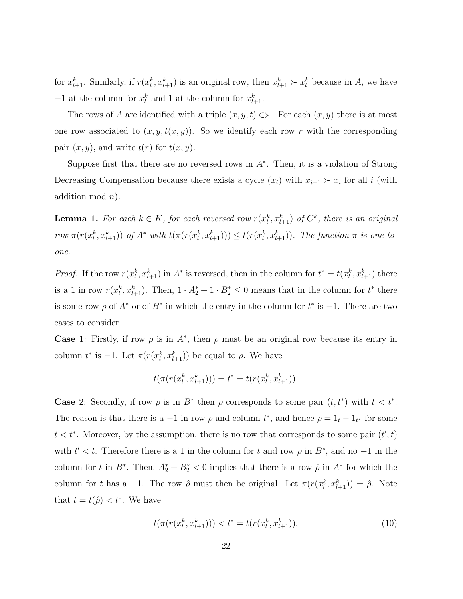for  $x_{l+1}^k$ . Similarly, if  $r(x_l^k, x_{l+1}^k)$  is an original row, then  $x_{l+1}^k \succ x_l^k$  because in A, we have  $-1$  at the column for  $x_l^k$  and 1 at the column for  $x_{l+1}^k$ .

The rows of A are identified with a triple  $(x, y, t) \in \succ$ . For each  $(x, y)$  there is at most one row associated to  $(x, y, t(x, y))$ . So we identify each row r with the corresponding pair  $(x, y)$ , and write  $t(r)$  for  $t(x, y)$ .

Suppose first that there are no reversed rows in  $A^*$ . Then, it is a violation of Strong Decreasing Compensation because there exists a cycle  $(x_i)$  with  $x_{i+1} \succ x_i$  for all i (with addition mod  $n$ ).

**Lemma 1.** For each  $k \in K$ , for each reversed row  $r(x_l^k, x_{l+1}^k)$  of  $C^k$ , there is an original row  $\pi(r(x_l^k, x_{l+1}^k))$  of  $A^*$  with  $t(\pi(r(x_l^k, x_{l+1}^k))) \leq t(r(x_l^k, x_{l+1}^k))$ . The function  $\pi$  is one-toone.

*Proof.* If the row  $r(x_l^k, x_{l+1}^k)$  in  $A^*$  is reversed, then in the column for  $t^* = t(x_l^k, x_{l+1}^k)$  there is a 1 in row  $r(x_l^k, x_{l+1}^k)$ . Then,  $1 \cdot A_2^* + 1 \cdot B_2^* \leq 0$  means that in the column for  $t^*$  there is some row  $\rho$  of  $A^*$  or of  $B^*$  in which the entry in the column for  $t^*$  is  $-1$ . There are two cases to consider.

**Case** 1: Firstly, if row  $\rho$  is in  $A^*$ , then  $\rho$  must be an original row because its entry in column  $t^*$  is  $-1$ . Let  $\pi(r(x_l^k, x_{l+1}^k))$  be equal to  $\rho$ . We have

$$
t(\pi(r(x_l^k, x_{l+1}^k))) = t^* = t(r(x_l^k, x_{l+1}^k)).
$$

**Case** 2: Secondly, if row  $\rho$  is in  $B^*$  then  $\rho$  corresponds to some pair  $(t, t^*)$  with  $t < t^*$ . The reason is that there is a  $-1$  in row  $\rho$  and column  $t^*$ , and hence  $\rho = 1_t - 1_{t^*}$  for some  $t < t^*$ . Moreover, by the assumption, there is no row that corresponds to some pair  $(t', t)$ with  $t' < t$ . Therefore there is a 1 in the column for t and row  $\rho$  in  $B^*$ , and no -1 in the column for t in  $B^*$ . Then,  $A_2^* + B_2^* < 0$  implies that there is a row  $\hat{\rho}$  in  $A^*$  for which the column for t has a -1. The row  $\hat{\rho}$  must then be original. Let  $\pi(r(x_l^k, x_{l+1}^k)) = \hat{\rho}$ . Note that  $t = t(\hat{\rho}) < t^*$ . We have

$$
t(\pi(r(x_l^k, x_{l+1}^k))) < t^* = t(r(x_l^k, x_{l+1}^k)).\tag{10}
$$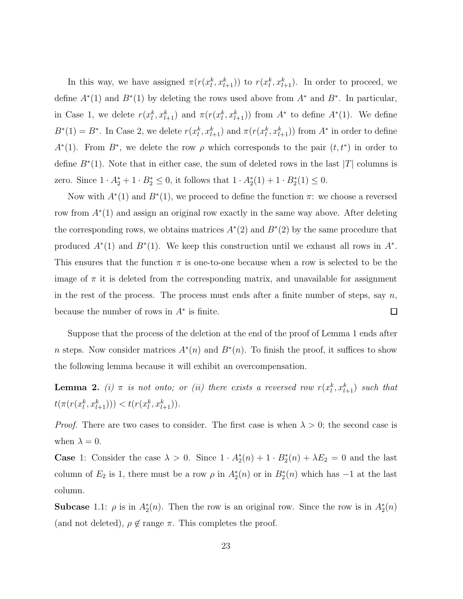In this way, we have assigned  $\pi(r(x_l^k, x_{l+1}^k))$  to  $r(x_l^k, x_{l+1}^k)$ . In order to proceed, we define  $A^*(1)$  and  $B^*(1)$  by deleting the rows used above from  $A^*$  and  $B^*$ . In particular, in Case 1, we delete  $r(x_l^k, x_{l+1}^k)$  and  $\pi(r(x_l^k, x_{l+1}^k))$  from  $A^*$  to define  $A^*(1)$ . We define  $B^*(1) = B^*$ . In Case 2, we delete  $r(x_l^k, x_{l+1}^k)$  and  $\pi(r(x_l^k, x_{l+1}^k))$  from  $A^*$  in order to define  $A^*(1)$ . From  $B^*$ , we delete the row  $\rho$  which corresponds to the pair  $(t, t^*)$  in order to define  $B^*(1)$ . Note that in either case, the sum of deleted rows in the last |T| columns is zero. Since  $1 \cdot A_2^* + 1 \cdot B_2^* \le 0$ , it follows that  $1 \cdot A_2^*(1) + 1 \cdot B_2^*(1) \le 0$ .

Now with  $A^*(1)$  and  $B^*(1)$ , we proceed to define the function  $\pi$ : we choose a reversed row from A<sup>∗</sup> (1) and assign an original row exactly in the same way above. After deleting the corresponding rows, we obtains matrices  $A^*(2)$  and  $B^*(2)$  by the same procedure that produced  $A^*(1)$  and  $B^*(1)$ . We keep this construction until we exhaust all rows in  $A^*$ . This ensures that the function  $\pi$  is one-to-one because when a row is selected to be the image of  $\pi$  it is deleted from the corresponding matrix, and unavailable for assignment in the rest of the process. The process must ends after a finite number of steps, say  $n$ , because the number of rows in  $A^*$  is finite.  $\Box$ 

Suppose that the process of the deletion at the end of the proof of Lemma 1 ends after n steps. Now consider matrices  $A^*(n)$  and  $B^*(n)$ . To finish the proof, it suffices to show the following lemma because it will exhibit an overcompensation.

**Lemma 2.** (i)  $\pi$  is not onto; or (ii) there exists a reversed row  $r(x_l^k, x_{l+1}^k)$  such that  $t(\pi(r(x_l^k, x_{l+1}^k))) < t(r(x_l^k, x_{l+1}^k)).$ 

*Proof.* There are two cases to consider. The first case is when  $\lambda > 0$ ; the second case is when  $\lambda = 0$ .

**Case** 1: Consider the case  $\lambda > 0$ . Since  $1 \cdot A_2^*(n) + 1 \cdot B_2^*(n) + \lambda E_2 = 0$  and the last column of  $E_2$  is 1, there must be a row  $\rho$  in  $A_2^*(n)$  or in  $B_2^*(n)$  which has  $-1$  at the last column.

**Subcase** 1.1:  $\rho$  is in  $A_2^*(n)$ . Then the row is an original row. Since the row is in  $A_2^*(n)$ (and not deleted),  $\rho \notin \text{range } \pi$ . This completes the proof.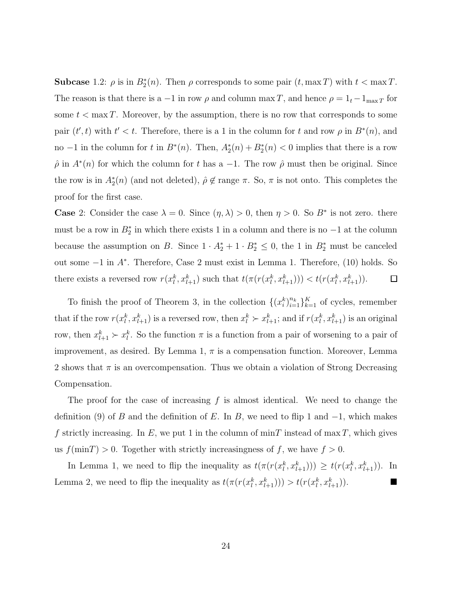**Subcase** 1.2:  $\rho$  is in  $B_2^*(n)$ . Then  $\rho$  corresponds to some pair  $(t, \max T)$  with  $t < \max T$ . The reason is that there is a −1 in row  $\rho$  and column max T, and hence  $\rho = 1_t - 1_{\max T}$  for some  $t < \max T$ . Moreover, by the assumption, there is no row that corresponds to some pair  $(t',t)$  with  $t' < t$ . Therefore, there is a 1 in the column for t and row  $\rho$  in  $B^*(n)$ , and no -1 in the column for t in  $B^*(n)$ . Then,  $A_2^*(n) + B_2^*(n) < 0$  implies that there is a row  $\hat{\rho}$  in  $A^*(n)$  for which the column for t has a -1. The row  $\hat{\rho}$  must then be original. Since the row is in  $A_2^*(n)$  (and not deleted),  $\hat{\rho} \notin \text{range } \pi$ . So,  $\pi$  is not onto. This completes the proof for the first case.

**Case** 2: Consider the case  $\lambda = 0$ . Since  $(\eta, \lambda) > 0$ , then  $\eta > 0$ . So  $B^*$  is not zero. there must be a row in  $B_2^*$  in which there exists 1 in a column and there is no  $-1$  at the column because the assumption on B. Since  $1 \cdot A_2^* + 1 \cdot B_2^* \leq 0$ , the 1 in  $B_2^*$  must be canceled out some −1 in A<sup>∗</sup> . Therefore, Case 2 must exist in Lemma 1. Therefore, (10) holds. So there exists a reversed row  $r(x_l^k, x_{l+1}^k)$  such that  $t(\pi(r(x_l^k, x_{l+1}^k))) < t(r(x_l^k, x_{l+1}^k))$ .  $\Box$ 

To finish the proof of Theorem 3, in the collection  $\{(x_i^k)_{i=1}^{n_k}\}_{k=1}^K$  of cycles, remember that if the row  $r(x_l^k, x_{l+1}^k)$  is a reversed row, then  $x_l^k \succ x_{l+1}^k$ ; and if  $r(x_l^k, x_{l+1}^k)$  is an original row, then  $x_{l+1}^k \succ x_l^k$ . So the function  $\pi$  is a function from a pair of worsening to a pair of improvement, as desired. By Lemma 1,  $\pi$  is a compensation function. Moreover, Lemma 2 shows that  $\pi$  is an overcompensation. Thus we obtain a violation of Strong Decreasing Compensation.

The proof for the case of increasing  $f$  is almost identical. We need to change the definition (9) of B and the definition of E. In B, we need to flip 1 and  $-1$ , which makes f strictly increasing. In E, we put 1 in the column of  $\min T$  instead of  $\max T$ , which gives us  $f(\min T) > 0$ . Together with strictly increasingness of f, we have  $f > 0$ .

In Lemma 1, we need to flip the inequality as  $t(\pi(r(x_l^k, x_{l+1}^k))) \geq t(r(x_l^k, x_{l+1}^k))$ . In Lemma 2, we need to flip the inequality as  $t(\pi(r(x_l^k, x_{l+1}^k))) > t(r(x_l^k, x_{l+1}^k))$ .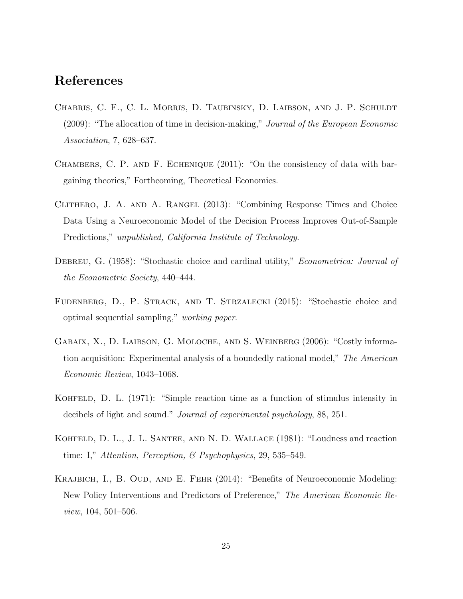## References

- Chabris, C. F., C. L. Morris, D. Taubinsky, D. Laibson, and J. P. Schuldt (2009): "The allocation of time in decision-making," Journal of the European Economic Association, 7, 628–637.
- Chambers, C. P. and F. Echenique (2011): "On the consistency of data with bargaining theories," Forthcoming, Theoretical Economics.
- Clithero, J. A. and A. Rangel (2013): "Combining Response Times and Choice Data Using a Neuroeconomic Model of the Decision Process Improves Out-of-Sample Predictions," unpublished, California Institute of Technology.
- DEBREU, G. (1958): "Stochastic choice and cardinal utility," *Econometrica: Journal of* the Econometric Society, 440–444.
- Fudenberg, D., P. Strack, and T. Strzalecki (2015): "Stochastic choice and optimal sequential sampling," working paper.
- GABAIX, X., D. LAIBSON, G. MOLOCHE, AND S. WEINBERG (2006): "Costly information acquisition: Experimental analysis of a boundedly rational model," The American Economic Review, 1043–1068.
- KOHFELD, D. L.  $(1971)$ : "Simple reaction time as a function of stimulus intensity in decibels of light and sound." Journal of experimental psychology, 88, 251.
- Kohfeld, D. L., J. L. Santee, and N. D. Wallace (1981): "Loudness and reaction time: I," Attention, Perception, & Psychophysics, 29, 535–549.
- Krajbich, I., B. Oud, and E. Fehr (2014): "Benefits of Neuroeconomic Modeling: New Policy Interventions and Predictors of Preference," The American Economic Review, 104, 501–506.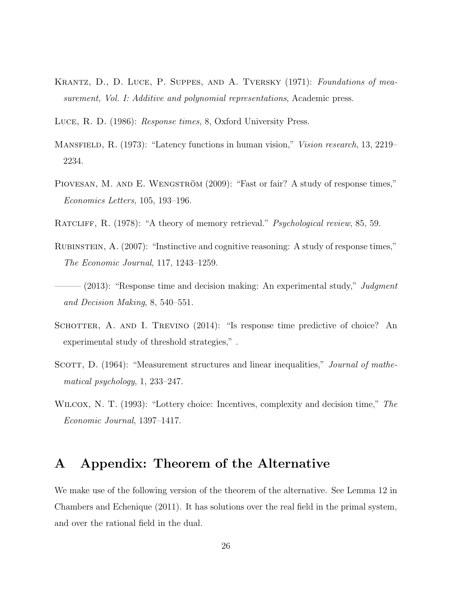- KRANTZ, D., D. LUCE, P. SUPPES, AND A. TVERSKY (1971): Foundations of measurement, Vol. I: Additive and polynomial representations, Academic press.
- Luce, R. D. (1986): Response times, 8, Oxford University Press.
- MANSFIELD, R. (1973): "Latency functions in human vision," *Vision research*, 13, 2219– 2234.
- PIOVESAN, M. AND E. WENGSTRÖM (2009): "Fast or fair? A study of response times," Economics Letters, 105, 193–196.
- RATCLIFF, R. (1978): "A theory of memory retrieval." *Psychological review*, 85, 59.
- Rubinstein, A. (2007): "Instinctive and cognitive reasoning: A study of response times," The Economic Journal, 117, 1243–1259.
- $(2013)$ : "Response time and decision making: An experimental study," Judgment and Decision Making, 8, 540–551.
- SCHOTTER, A. AND I. TREVINO (2014): "Is response time predictive of choice? An experimental study of threshold strategies," .
- SCOTT, D. (1964): "Measurement structures and linear inequalities," *Journal of mathe*matical psychology, 1, 233–247.
- WILCOX, N. T. (1993): "Lottery choice: Incentives, complexity and decision time," The Economic Journal, 1397–1417.

#### A Appendix: Theorem of the Alternative

We make use of the following version of the theorem of the alternative. See Lemma 12 in Chambers and Echenique (2011). It has solutions over the real field in the primal system, and over the rational field in the dual.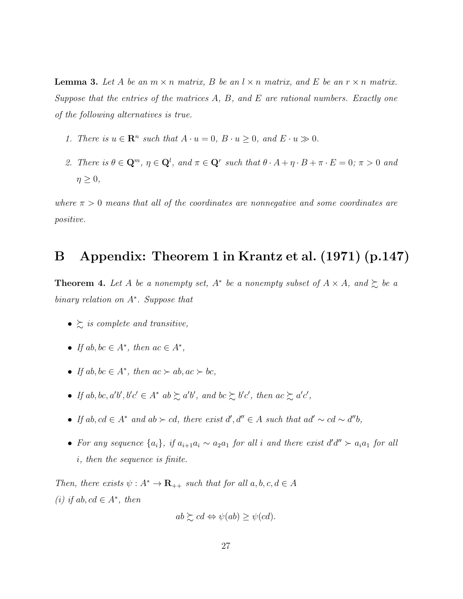**Lemma 3.** Let A be an  $m \times n$  matrix, B be an  $l \times n$  matrix, and E be an  $r \times n$  matrix. Suppose that the entries of the matrices  $A, B,$  and  $E$  are rational numbers. Exactly one of the following alternatives is true.

- 1. There is  $u \in \mathbb{R}^n$  such that  $A \cdot u = 0$ ,  $B \cdot u \ge 0$ , and  $E \cdot u \gg 0$ .
- 2. There is  $\theta \in \mathbb{Q}^m$ ,  $\eta \in \mathbb{Q}^l$ , and  $\pi \in \mathbb{Q}^r$  such that  $\theta \cdot A + \eta \cdot B + \pi \cdot E = 0$ ;  $\pi > 0$  and  $\eta \geq 0$ ,

where  $\pi > 0$  means that all of the coordinates are nonnegative and some coordinates are positive.

#### B Appendix: Theorem 1 in Krantz et al. (1971) (p.147)

**Theorem 4.** Let A be a nonempty set,  $A^*$  be a nonempty subset of  $A \times A$ , and  $\succeq$  be a binary relation on A<sup>∗</sup> . Suppose that

- $\geq$  is complete and transitive,
- If  $ab, bc \in A^*$ , then  $ac \in A^*$ ,
- If  $ab, bc \in A^*$ , then  $ac \succ ab, ac \succ bc$ ,
- If ab, bc, a'b', b'c'  $\in A^*$  ab  $\succsim a'$ b', and bc  $\succsim b'c'$ , then ac  $\succsim a'c'$ ,
- If ab, cd  $\in A^*$  and ab ≻ cd, there exist  $d', d'' \in A$  such that ad' ~ cd ~  $d''b$ ,
- For any sequence  $\{a_i\}$ , if  $a_{i+1}a_i \sim a_2a_1$  for all i and there exist  $d'd'' > a_ia_1$  for all i, then the sequence is finite.

Then, there exists  $\psi : A^* \to \mathbf{R}_{++}$  such that for all  $a, b, c, d \in A$ (i) if ab,  $cd \in A^*$ , then

$$
ab \succsim cd \Leftrightarrow \psi(ab) \geq \psi(cd).
$$